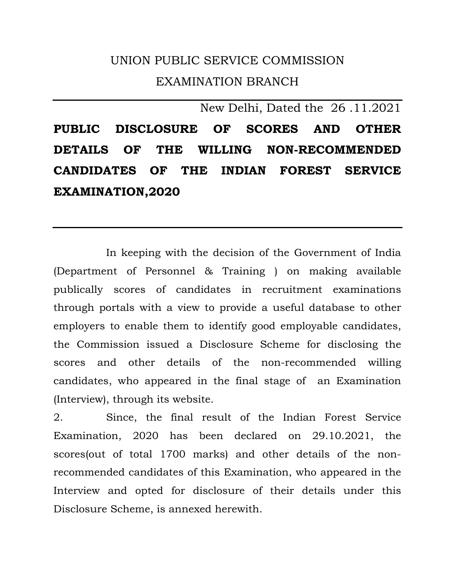## UNION PUBLIC SERVICE COMMISSION EXAMINATION BRANCH

New Delhi, Dated the 26 .11.2021 **PUBLIC DISCLOSURE OF SCORES AND OTHER DETAILS OF THE WILLING NON-RECOMMENDED CANDIDATES OF THE INDIAN FOREST SERVICE EXAMINATION,2020** 

 In keeping with the decision of the Government of India (Department of Personnel & Training ) on making available publically scores of candidates in recruitment examinations through portals with a view to provide a useful database to other employers to enable them to identify good employable candidates, the Commission issued a Disclosure Scheme for disclosing the scores and other details of the non-recommended willing candidates, who appeared in the final stage of an Examination (Interview), through its website.

2. Since, the final result of the Indian Forest Service Examination, 2020 has been declared on 29.10.2021, the scores(out of total 1700 marks) and other details of the nonrecommended candidates of this Examination, who appeared in the Interview and opted for disclosure of their details under this Disclosure Scheme, is annexed herewith.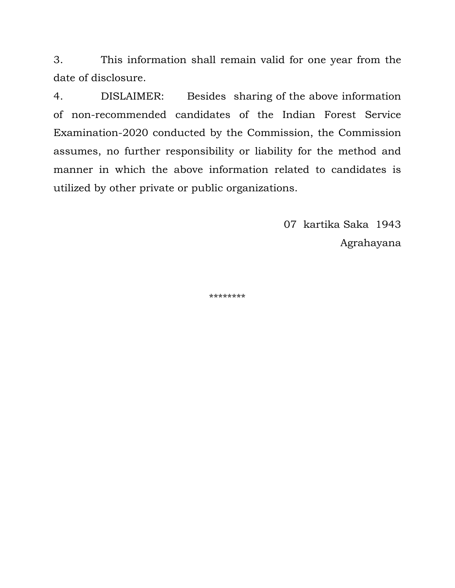3. This information shall remain valid for one year from the date of disclosure.

4. DISLAIMER: Besides sharing of the above information of non-recommended candidates of the Indian Forest Service Examination-2020 conducted by the Commission, the Commission assumes, no further responsibility or liability for the method and manner in which the above information related to candidates is utilized by other private or public organizations.

> 07 kartika Saka 1943 Agrahayana

\*\*\*\*\*\*\*\*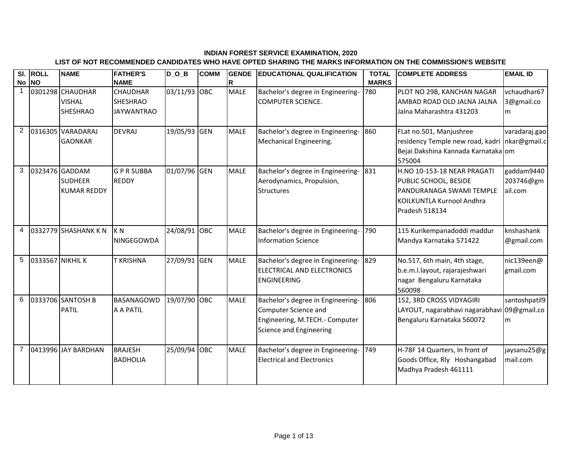## **INDIAN FOREST SERVICE EXAMINATION, 2020**

## **LIST OF NOT RECOMMENDED CANDIDATES WHO HAVE OPTED SHARING THE MARKS INFORMATION ON THE COMMISSION'S WEBSITE**

| $\overline{\mathsf{SI}}$ . | <b>ROLL</b><br>No NO | <b>NAME</b>                                            | <b>FATHER'S</b><br><b>NAME</b>                          | $D_0_B$      | <b>COMM</b> | <b>GENDE</b><br>R | <b>EDUCATIONAL QUALIFICATION</b>                                                                                       | <b>TOTAL</b><br><b>MARKS</b> | <b>COMPLETE ADDRESS</b>                                                                                                         | <b>EMAIL ID</b>                    |
|----------------------------|----------------------|--------------------------------------------------------|---------------------------------------------------------|--------------|-------------|-------------------|------------------------------------------------------------------------------------------------------------------------|------------------------------|---------------------------------------------------------------------------------------------------------------------------------|------------------------------------|
| 1                          |                      | 0301298 CHAUDHAR<br><b>VISHAL</b><br><b>SHESHRAO</b>   | <b>CHAUDHAR</b><br><b>SHESHRAO</b><br><b>JAYWANTRAO</b> | 03/11/93 OBC |             | <b>MALE</b>       | Bachelor's degree in Engineering-<br><b>COMPUTER SCIENCE.</b>                                                          | 780                          | PLOT NO 29B, KANCHAN NAGAR<br>AMBAD ROAD OLD JALNA JALNA<br>Jalna Maharashtra 431203                                            | vchaudhar67<br>3@gmail.co<br>m     |
| $\overline{2}$             |                      | 0316305 VARADARAJ<br><b>GAONKAR</b>                    | <b>DEVRAJ</b>                                           | 19/05/93 GEN |             | <b>MALE</b>       | Bachelor's degree in Engineering-<br>Mechanical Engineering.                                                           | 860                          | FLat no.501, Manjushree<br>residency Temple new road, kadri nkar@gmail.c<br>Bejai Dakshina Kannada Karnataka om<br>575004       | varadaraj.gao                      |
| 3                          |                      | 0323476 GADDAM<br><b>SUDHEER</b><br><b>KUMAR REDDY</b> | <b>GPRSUBBA</b><br><b>REDDY</b>                         | 01/07/96 GEN |             | <b>MALE</b>       | Bachelor's degree in Engineering-<br>Aerodynamics, Propulsion,<br><b>Structures</b>                                    | 831                          | H.NO 10-153-18 NEAR PRAGATI<br>PUBLIC SCHOOL, BESIDE<br>PANDURANAGA SWAMI TEMPLE<br>KOILKUNTLA Kurnool Andhra<br>Pradesh 518134 | gaddam9440<br>203746@gm<br>ail.com |
| 4                          |                      | 0332779 SHASHANK K N                                   | K <sub>N</sub><br>NINGEGOWDA                            | 24/08/91 OBC |             | <b>MALE</b>       | Bachelor's degree in Engineering-<br><b>Information Science</b>                                                        | 790                          | 115 Kurikempanadoddi maddur<br>Mandya Karnataka 571422                                                                          | knshashank<br>@gmail.com           |
| 5                          | 0333567 NIKHIL K     |                                                        | <b>T KRISHNA</b>                                        | 27/09/91 GEN |             | <b>MALE</b>       | Bachelor's degree in Engineering-<br>ELECTRICAL AND ELECTRONICS<br><b>ENGINEERING</b>                                  | 829                          | No.517, 6th main, 4th stage,<br>b.e.m.l.layout, rajarajeshwari<br>nagar Bengaluru Karnataka<br>560098                           | nic139een@<br>gmail.com            |
| 6                          |                      | 0333706 SANTOSH B<br><b>PATIL</b>                      | <b>BASANAGOWD</b><br>A A PATIL                          | 19/07/90 OBC |             | <b>MALE</b>       | Bachelor's degree in Engineering-<br>Computer Science and<br>Engineering, M.TECH.- Computer<br>Science and Engineering | 806                          | 152, 3RD CROSS VIDYAGIRI<br>LAYOUT, nagarabhavi nagarabhavi 09@gmail.co<br>Bengaluru Karnataka 560072                           | santoshpatil9<br>m                 |
| 7                          |                      | 0413996 JAY BARDHAN                                    | <b>BRAJESH</b><br><b>BADHOLIA</b>                       | 25/09/94 OBC |             | <b>MALE</b>       | Bachelor's degree in Engineering-<br><b>Electrical and Electronics</b>                                                 | 749                          | H-78F 14 Quarters, In front of<br>Goods Office, Rly Hoshangabad<br>Madhya Pradesh 461111                                        | jaysanu25@g<br>mail.com            |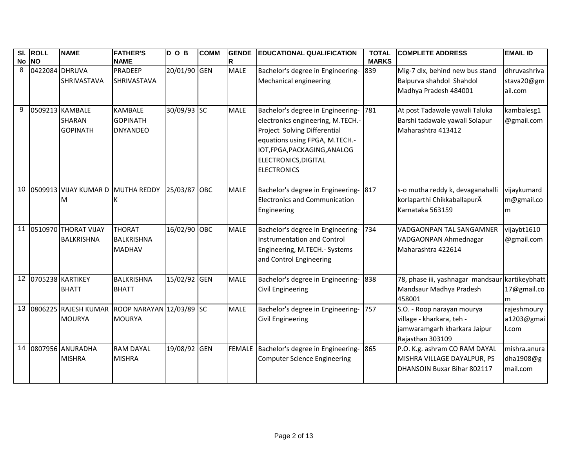|    | SI. ROLL<br>No NO | <b>NAME</b>                                         | <b>FATHER'S</b><br><b>NAME</b>                                 | $D_$ $D_$ $B$ | <b>COMM</b> | <b>GENDE</b><br>R | <b>EDUCATIONAL QUALIFICATION</b>                                                                                                                                                                                       | <b>TOTAL</b><br><b>MARKS</b> | <b>COMPLETE ADDRESS</b>                                                                                     | <b>EMAIL ID</b>                       |
|----|-------------------|-----------------------------------------------------|----------------------------------------------------------------|---------------|-------------|-------------------|------------------------------------------------------------------------------------------------------------------------------------------------------------------------------------------------------------------------|------------------------------|-------------------------------------------------------------------------------------------------------------|---------------------------------------|
| 8  | 0422084 DHRUVA    | <b>SHRIVASTAVA</b>                                  | PRADEEP<br>SHRIVASTAVA                                         | 20/01/90 GEN  |             | <b>MALE</b>       | Bachelor's degree in Engineering-<br>Mechanical engineering                                                                                                                                                            | 839                          | Mig-7 dlx, behind new bus stand<br>Balpurva shahdol Shahdol<br>Madhya Pradesh 484001                        | dhruvashriva<br>stava20@gm<br>ail.com |
| 9  |                   | 0509213 KAMBALE<br><b>SHARAN</b><br><b>GOPINATH</b> | KAMBALE<br><b>GOPINATH</b><br><b>DNYANDEO</b>                  | 30/09/93 SC   |             | <b>MALE</b>       | Bachelor's degree in Engineering-<br>electronics engineering, M.TECH.-<br>Project Solving Differential<br>equations using FPGA, M.TECH.-<br>IOT, FPGA, PACKAGING, ANALOG<br>ELECTRONICS, DIGITAL<br><b>ELECTRONICS</b> | 781                          | At post Tadawale yawali Taluka<br>Barshi tadawale yawali Solapur<br>Maharashtra 413412                      | kambalesg1<br>@gmail.com              |
|    |                   | 10 0509913 VIJAY KUMAR D MUTHA REDDY<br>M           | К                                                              | 25/03/87 OBC  |             | <b>MALE</b>       | Bachelor's degree in Engineering- 817<br><b>Electronics and Communication</b><br>Engineering                                                                                                                           |                              | s-o mutha reddy k, devaganahalli<br>korlaparthi ChikkaballapurÂ<br>Karnataka 563159                         | vijaykumard<br>m@gmail.co<br>m        |
|    |                   | 11 0510970 THORAT VIJAY<br><b>BALKRISHNA</b>        | <b>THORAT</b><br>BALKRISHNA<br><b>MADHAV</b>                   | 16/02/90 OBC  |             | <b>MALE</b>       | Bachelor's degree in Engineering-<br>Instrumentation and Control<br>Engineering, M.TECH.- Systems<br>and Control Engineering                                                                                           | 734                          | VADGAONPAN TAL SANGAMNER<br>VADGAONPAN Ahmednagar<br>Maharashtra 422614                                     | vijaybt1610<br>@gmail.com             |
|    |                   | 12 0705238 KARTIKEY<br><b>BHATT</b>                 | <b>BALKRISHNA</b><br><b>BHATT</b>                              | 15/02/92 GEN  |             | <b>MALE</b>       | Bachelor's degree in Engineering-<br><b>Civil Engineering</b>                                                                                                                                                          | 838                          | 78, phase iii, yashnagar mandsaur kartikeybhatt<br>Mandsaur Madhya Pradesh<br>458001                        | 17@gmail.co<br>m                      |
| 13 |                   | <b>MOURYA</b>                                       | 0806225 RAJESH KUMAR ROOP NARAYAN 12/03/89 SC<br><b>MOURYA</b> |               |             | <b>MALE</b>       | Bachelor's degree in Engineering-<br>Civil Engineering                                                                                                                                                                 | 757                          | S.O. - Roop narayan mourya<br>village - kharkara, teh -<br>jamwaramgarh kharkara Jaipur<br>Rajasthan 303109 | rajeshmoury<br>a1203@gmai<br>I.com    |
|    |                   | 14 0807956 ANURADHA<br><b>MISHRA</b>                | <b>RAM DAYAL</b><br><b>MISHRA</b>                              | 19/08/92 GEN  |             |                   | FEMALE Bachelor's degree in Engineering- 865<br>Computer Science Engineering                                                                                                                                           |                              | P.O. K.g. ashram CO RAM DAYAL<br>MISHRA VILLAGE DAYALPUR, PS<br>DHANSOIN Buxar Bihar 802117                 | mishra.anura<br>dha1908@g<br>mail.com |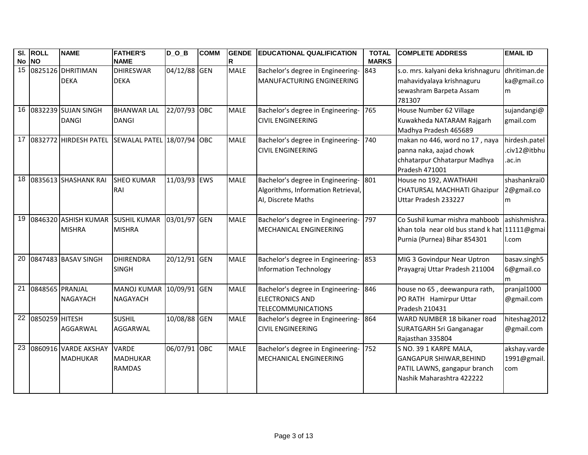|                 | SI. ROLL        | <b>NAME</b>                       | <b>FATHER'S</b>                                     | $D_0_B$      | <b>COMM</b> | <b>GENDE</b> | <b>EDUCATIONAL QUALIFICATION</b>      | <b>TOTAL</b> | <b>COMPLETE ADDRESS</b>                       | <b>EMAIL ID</b> |
|-----------------|-----------------|-----------------------------------|-----------------------------------------------------|--------------|-------------|--------------|---------------------------------------|--------------|-----------------------------------------------|-----------------|
|                 | No NO           |                                   | <b>NAME</b>                                         |              |             | R            |                                       | <b>MARKS</b> |                                               |                 |
|                 |                 | 15 0825126 DHRITIMAN              | <b>DHIRESWAR</b>                                    | 04/12/88 GEN |             | <b>MALE</b>  | Bachelor's degree in Engineering-     | 843          | s.o. mrs. kalyani deka krishnaguru            | dhritiman.de    |
|                 |                 | <b>DEKA</b>                       | <b>DEKA</b>                                         |              |             |              | MANUFACTURING ENGINEERING             |              | mahavidyalaya krishnaguru                     | ka@gmail.co     |
|                 |                 |                                   |                                                     |              |             |              |                                       |              | sewashram Barpeta Assam                       | m               |
|                 |                 |                                   |                                                     |              |             |              |                                       |              | 781307                                        |                 |
|                 |                 | 16 0832239 SUJAN SINGH            | <b>BHANWAR LAL</b>                                  | 22/07/93 OBC |             | <b>MALE</b>  | Bachelor's degree in Engineering-     | 765          | House Number 62 Village                       | sujandangi@     |
|                 |                 | <b>DANGI</b>                      | <b>DANGI</b>                                        |              |             |              | <b>CIVIL ENGINEERING</b>              |              | Kuwakheda NATARAM Rajgarh                     | gmail.com       |
|                 |                 |                                   |                                                     |              |             |              |                                       |              | Madhya Pradesh 465689                         |                 |
|                 |                 |                                   | 17 0832772 HIRDESH PATEL SEWALAL PATEL 18/07/94 OBC |              |             | <b>MALE</b>  | Bachelor's degree in Engineering-     | 740          | makan no 446, word no 17, naya                | hirdesh.patel   |
|                 |                 |                                   |                                                     |              |             |              | <b>CIVIL ENGINEERING</b>              |              | panna naka, aajad chowk                       | .civ12@itbhu    |
|                 |                 |                                   |                                                     |              |             |              |                                       |              | chhatarpur Chhatarpur Madhya                  | .ac.in          |
|                 |                 |                                   |                                                     |              |             |              |                                       |              | Pradesh 471001                                |                 |
| 18              |                 | 0835613 SHASHANK RAI              | <b>SHEO KUMAR</b>                                   | 11/03/93 EWS |             | <b>MALE</b>  | Bachelor's degree in Engineering-     | 801          | House no 192, AWATHAHI                        | shashankrai0    |
|                 |                 |                                   | RAI                                                 |              |             |              | Algorithms, Information Retrieval,    |              | <b>CHATURSAL MACHHATI Ghazipur</b>            | 2@gmail.co      |
|                 |                 |                                   |                                                     |              |             |              | AI, Discrete Maths                    |              | Uttar Pradesh 233227                          | m               |
|                 |                 |                                   |                                                     |              |             |              |                                       |              |                                               |                 |
| 19              |                 | 0846320 ASHISH KUMAR SUSHIL KUMAR |                                                     | 03/01/97 GEN |             | <b>MALE</b>  | Bachelor's degree in Engineering-     | 797          | Co Sushil kumar mishra mahboob                | ashishmishra.   |
|                 |                 | <b>MISHRA</b>                     | <b>MISHRA</b>                                       |              |             |              | MECHANICAL ENGINEERING                |              | khan tola near old bus stand k hat 11111@gmai |                 |
|                 |                 |                                   |                                                     |              |             |              |                                       |              | Purnia (Purnea) Bihar 854301                  | l.com           |
|                 |                 |                                   |                                                     |              |             |              |                                       |              |                                               |                 |
|                 |                 | 20 0847483 BASAV SINGH            | <b>DHIRENDRA</b>                                    | 20/12/91 GEN |             | <b>MALE</b>  | Bachelor's degree in Engineering- 853 |              | MIG 3 Govindpur Near Uptron                   | basav.singh5    |
|                 |                 |                                   | <b>SINGH</b>                                        |              |             |              | <b>Information Technology</b>         |              | Prayagraj Uttar Pradesh 211004                | 6@gmail.co      |
|                 |                 |                                   |                                                     |              |             |              |                                       |              |                                               | m               |
| 21              | 0848565 PRANJAL |                                   | <b>MANOJ KUMAR</b>                                  | 10/09/91 GEN |             | <b>MALE</b>  | Bachelor's degree in Engineering-     | 846          | house no 65, deewanpura rath,                 | pranjal1000     |
|                 |                 | <b>NAGAYACH</b>                   | <b>NAGAYACH</b>                                     |              |             |              | <b>ELECTRONICS AND</b>                |              | PO RATH Hamirpur Uttar                        | @gmail.com      |
|                 |                 |                                   |                                                     |              |             |              | <b>TELECOMMUNICATIONS</b>             |              | Pradesh 210431                                |                 |
| $\overline{22}$ | 0850259 HITESH  |                                   | <b>SUSHIL</b>                                       | 10/08/88 GEN |             | <b>MALE</b>  | Bachelor's degree in Engineering-     | 864          | WARD NUMBER 18 bikaner road                   | hiteshag2012    |
|                 |                 | AGGARWAL                          | AGGARWAL                                            |              |             |              | <b>CIVIL ENGINEERING</b>              |              | <b>SURATGARH Sri Ganganagar</b>               | @gmail.com      |
|                 |                 |                                   |                                                     |              |             |              |                                       |              | Rajasthan 335804                              |                 |
| 23              |                 | 0860916 VARDE AKSHAY              | <b>VARDE</b>                                        | 06/07/91 OBC |             | <b>MALE</b>  | Bachelor's degree in Engineering-     | 752          | S NO. 39 1 KARPE MALA,                        | akshay.varde    |
|                 |                 | <b>MADHUKAR</b>                   | <b>MADHUKAR</b>                                     |              |             |              | MECHANICAL ENGINEERING                |              | <b>GANGAPUR SHIWAR, BEHIND</b>                | 1991@gmail.     |
|                 |                 |                                   | <b>RAMDAS</b>                                       |              |             |              |                                       |              | PATIL LAWNS, gangapur branch                  | com             |
|                 |                 |                                   |                                                     |              |             |              |                                       |              | Nashik Maharashtra 422222                     |                 |
|                 |                 |                                   |                                                     |              |             |              |                                       |              |                                               |                 |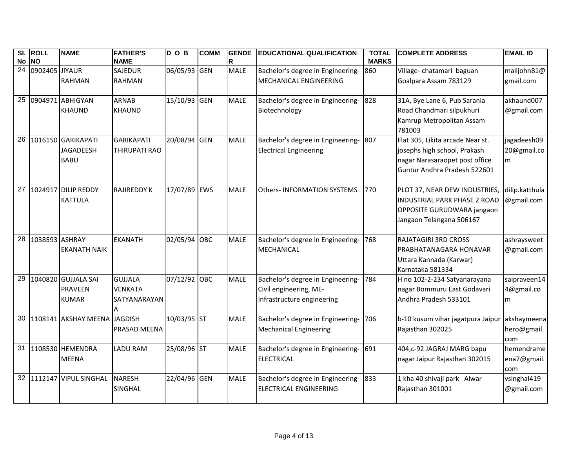|                 | SI. ROLL          | <b>NAME</b>                  | <b>FATHER'S</b>    | DOB          | <b>COMM</b> | <b>GENDE</b> | <b>EDUCATIONAL QUALIFICATION</b>  | <b>TOTAL</b> | <b>COMPLETE ADDRESS</b>             | <b>EMAIL ID</b> |
|-----------------|-------------------|------------------------------|--------------------|--------------|-------------|--------------|-----------------------------------|--------------|-------------------------------------|-----------------|
| No NO           |                   |                              | <b>NAME</b>        |              |             | R            |                                   | <b>MARKS</b> |                                     |                 |
|                 | 24 0902405 JIYAUR |                              | <b>SAJEDUR</b>     | 06/05/93 GEN |             | <b>MALE</b>  | Bachelor's degree in Engineering- | 860          | Village-chatamari baguan            | mailjohn81@     |
|                 |                   | <b>RAHMAN</b>                | <b>RAHMAN</b>      |              |             |              | MECHANICAL ENGINEERING            |              | Goalpara Assam 783129               | gmail.com       |
|                 |                   |                              |                    |              |             |              |                                   |              |                                     |                 |
|                 |                   | 25 0904971 ABHIGYAN          | <b>ARNAB</b>       | 15/10/93 GEN |             | <b>MALE</b>  | Bachelor's degree in Engineering- | 828          | 31A, Bye Lane 6, Pub Sarania        | akhaund007      |
|                 |                   | <b>KHAUND</b>                | <b>KHAUND</b>      |              |             |              | Biotechnology                     |              | Road Chandmari silpukhuri           | @gmail.com      |
|                 |                   |                              |                    |              |             |              |                                   |              | Kamrup Metropolitan Assam           |                 |
|                 |                   |                              |                    |              |             |              |                                   |              | 781003                              |                 |
| 26              |                   | 1016150 GARIKAPATI           | <b>GARIKAPATI</b>  | 20/08/94 GEN |             | <b>MALE</b>  | Bachelor's degree in Engineering- | 807          | Flat 305, Likita arcade Near st.    | jagadeesh09     |
|                 |                   | <b>JAGADEESH</b>             | THIRUPATI RAO      |              |             |              | <b>Electrical Engineering</b>     |              | josephs high school, Prakash        | 20@gmail.co     |
|                 |                   | <b>BABU</b>                  |                    |              |             |              |                                   |              | nagar Narasaraopet post office      | m               |
|                 |                   |                              |                    |              |             |              |                                   |              | Guntur Andhra Pradesh 522601        |                 |
|                 |                   | 27 1024917 DILIP REDDY       | <b>RAJIREDDY K</b> | 17/07/89 EWS |             | <b>MALE</b>  | <b>Others-INFORMATION SYSTEMS</b> | 770          | PLOT 37, NEAR DEW INDUSTRIES,       | dilip.katthula  |
|                 |                   | <b>KATTULA</b>               |                    |              |             |              |                                   |              | <b>INDUSTRIAL PARK PHASE 2 ROAD</b> | @gmail.com      |
|                 |                   |                              |                    |              |             |              |                                   |              | OPPOSITE GURUDWARA jangaon          |                 |
|                 |                   |                              |                    |              |             |              |                                   |              | Jangaon Telangana 506167            |                 |
|                 |                   |                              |                    |              |             |              |                                   |              |                                     |                 |
| 28              | 1038593 ASHRAY    |                              | <b>EKANATH</b>     | 02/05/94 OBC |             | <b>MALE</b>  | Bachelor's degree in Engineering- | 768          | <b>RAJATAGIRI 3RD CROSS</b>         | ashraysweet     |
|                 |                   | <b>EKANATH NAIK</b>          |                    |              |             |              | <b>MECHANICAL</b>                 |              | PRABHATANAGARA HONAVAR              | @gmail.com      |
|                 |                   |                              |                    |              |             |              |                                   |              | Uttara Kannada (Karwar)             |                 |
|                 |                   |                              |                    |              |             |              |                                   |              | Karnataka 581334                    |                 |
| $\overline{29}$ |                   | 1040820 GUJJALA SAI          | <b>GUJJALA</b>     | 07/12/92 OBC |             | <b>MALE</b>  | Bachelor's degree in Engineering- | 784          | H no 102-2-234 Satyanarayana        | saipraveen14    |
|                 |                   | <b>PRAVEEN</b>               | <b>VENKATA</b>     |              |             |              | Civil engineering, ME-            |              | nagar Bommuru East Godavari         | 4@gmail.co      |
|                 |                   | <b>KUMAR</b>                 | SATYANARAYAN       |              |             |              | Infrastructure engineering        |              | Andhra Pradesh 533101               | m               |
|                 |                   |                              |                    |              |             |              |                                   |              |                                     |                 |
| 30              |                   | 1108141 AKSHAY MEENA JAGDISH |                    | 10/03/95 ST  |             | <b>MALE</b>  | Bachelor's degree in Engineering- | 706          | b-10 kusum vihar jagatpura Jaipur   | akshaymeena     |
|                 |                   |                              | PRASAD MEENA       |              |             |              | <b>Mechanical Engineering</b>     |              | Rajasthan 302025                    | hero@gmail.     |
|                 |                   |                              |                    |              |             |              |                                   |              |                                     | com             |
|                 |                   | 31 1108530 HEMENDRA          | <b>LADU RAM</b>    | 25/08/96 ST  |             | <b>MALE</b>  | Bachelor's degree in Engineering- | 691          | 404,c-92 JAGRAJ MARG bapu           | hemendrame      |
|                 |                   | <b>MEENA</b>                 |                    |              |             |              | <b>ELECTRICAL</b>                 |              | nagar Jaipur Rajasthan 302015       | ena7@gmail.     |
|                 |                   |                              |                    |              |             |              |                                   |              |                                     | com             |
| 32 <sub>1</sub> |                   | 1112147 VIPUL SINGHAL        | <b>NARESH</b>      | 22/04/96 GEN |             | <b>MALE</b>  | Bachelor's degree in Engineering- | 833          | 1 kha 40 shivaji park Alwar         | vsinghal419     |
|                 |                   |                              | <b>SINGHAL</b>     |              |             |              | <b>ELECTRICAL ENGINEERING</b>     |              | Rajasthan 301001                    | @gmail.com      |
|                 |                   |                              |                    |              |             |              |                                   |              |                                     |                 |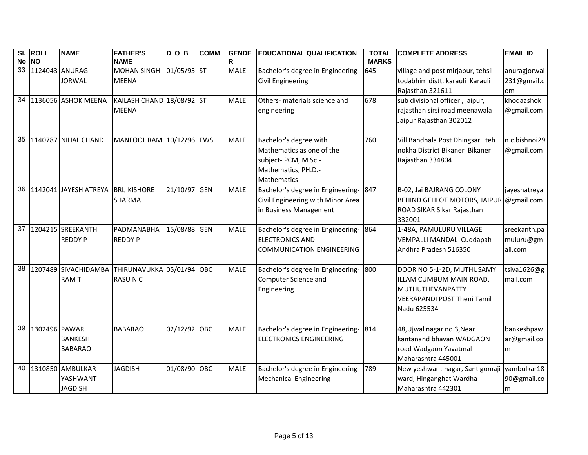|       | SI. ROLL          | <b>NAME</b>            | <b>FATHER'S</b>                                | $D_$ $D_$ $B$ | <b>COMM</b> | <b>GENDE</b> | <b>EDUCATIONAL QUALIFICATION</b>      | <b>TOTAL</b> | <b>COMPLETE ADDRESS</b>             | <b>EMAIL ID</b> |
|-------|-------------------|------------------------|------------------------------------------------|---------------|-------------|--------------|---------------------------------------|--------------|-------------------------------------|-----------------|
| No NO |                   |                        | <b>NAME</b>                                    |               |             | R            |                                       | <b>MARKS</b> |                                     |                 |
|       | 33 1124043 ANURAG |                        | <b>MOHAN SINGH</b>                             | 01/05/95 ST   |             | <b>MALE</b>  | Bachelor's degree in Engineering- 645 |              | village and post mirjapur, tehsil   | anuragjorwal    |
|       |                   | <b>JORWAL</b>          | <b>MEENA</b>                                   |               |             |              | Civil Engineering                     |              | todabhim distt. karauli Karauli     | 231@gmail.c     |
|       |                   |                        |                                                |               |             |              |                                       |              | Rajasthan 321611                    | <b>om</b>       |
|       |                   | 34 1136056 ASHOK MEENA | KAILASH CHAND 18/08/92 ST                      |               |             | <b>MALE</b>  | Others- materials science and         | 678          | sub divisional officer, jaipur,     | khodaashok      |
|       |                   |                        | <b>MEENA</b>                                   |               |             |              | engineering                           |              | rajasthan sirsi road meenawala      | @gmail.com      |
|       |                   |                        |                                                |               |             |              |                                       |              | Jaipur Rajasthan 302012             |                 |
|       |                   |                        |                                                |               |             |              |                                       |              |                                     |                 |
|       |                   | 35 1140787 NIHAL CHAND | MANFOOL RAM 10/12/96 EWS                       |               |             | <b>MALE</b>  | Bachelor's degree with                | 760          | Vill Bandhala Post Dhingsari teh    | n.c.bishnoi29   |
|       |                   |                        |                                                |               |             |              | Mathematics as one of the             |              | nokha District Bikaner Bikaner      | @gmail.com      |
|       |                   |                        |                                                |               |             |              | subject- PCM, M.Sc.-                  |              | Rajasthan 334804                    |                 |
|       |                   |                        |                                                |               |             |              | Mathematics, PH.D.-                   |              |                                     |                 |
|       |                   |                        |                                                |               |             |              | Mathematics                           |              |                                     |                 |
| 36    |                   | 1142041 JAYESH ATREYA  | <b>BRIJ KISHORE</b>                            | 21/10/97 GEN  |             | <b>MALE</b>  | Bachelor's degree in Engineering- 847 |              | B-02, Jai BAJRANG COLONY            | jayeshatreya    |
|       |                   |                        | <b>SHARMA</b>                                  |               |             |              | Civil Engineering with Minor Area     |              | <b>BEHIND GEHLOT MOTORS, JAIPUR</b> | @gmail.com      |
|       |                   |                        |                                                |               |             |              | in Business Management                |              | ROAD SIKAR Sikar Rajasthan          |                 |
|       |                   |                        |                                                |               |             |              |                                       |              | 332001                              |                 |
|       |                   | 37 1204215 SREEKANTH   | PADMANABHA                                     | 15/08/88 GEN  |             | <b>MALE</b>  | Bachelor's degree in Engineering-     | 864          | 1-48A, PAMULURU VILLAGE             | sreekanth.pa    |
|       |                   | <b>REDDY P</b>         | <b>REDDY P</b>                                 |               |             |              | <b>ELECTRONICS AND</b>                |              | VEMPALLI MANDAL Cuddapah            | muluru@gm       |
|       |                   |                        |                                                |               |             |              | <b>COMMUNICATION ENGINEERING</b>      |              | Andhra Pradesh 516350               | ail.com         |
|       |                   |                        |                                                |               |             |              |                                       |              |                                     |                 |
| 38    |                   |                        | 1207489 SIVACHIDAMBA THIRUNAVUKKA 05/01/94 OBC |               |             | <b>MALE</b>  | Bachelor's degree in Engineering-     | 800          | DOOR NO 5-1-2D, MUTHUSAMY           | tsiva1626@g     |
|       |                   | <b>RAMT</b>            | <b>RASUNC</b>                                  |               |             |              | Computer Science and                  |              | ILLAM CUMBUM MAIN ROAD,             | mail.com        |
|       |                   |                        |                                                |               |             |              | Engineering                           |              | MUTHUTHEVANPATTY                    |                 |
|       |                   |                        |                                                |               |             |              |                                       |              | <b>VEERAPANDI POST Theni Tamil</b>  |                 |
|       |                   |                        |                                                |               |             |              |                                       |              | Nadu 625534                         |                 |
|       |                   |                        |                                                |               |             |              |                                       |              |                                     |                 |
| 39    | 1302496 PAWAR     |                        | <b>BABARAO</b>                                 | 02/12/92 OBC  |             | <b>MALE</b>  | Bachelor's degree in Engineering- 814 |              | 48, Ujwal nagar no. 3, Near         | bankeshpaw      |
|       |                   | <b>BANKESH</b>         |                                                |               |             |              | <b>ELECTRONICS ENGINEERING</b>        |              | kantanand bhavan WADGAON            | ar@gmail.co     |
|       |                   | <b>BABARAO</b>         |                                                |               |             |              |                                       |              | road Wadgaon Yavatmal               | m               |
|       |                   |                        |                                                |               |             |              |                                       |              | Maharashtra 445001                  |                 |
| 40    |                   | 1310850 AMBULKAR       | <b>JAGDISH</b>                                 | 01/08/90 OBC  |             | <b>MALE</b>  | Bachelor's degree in Engineering-     | 789          | New yeshwant nagar, Sant gomaji     | yambulkar18     |
|       |                   | YASHWANT               |                                                |               |             |              | <b>Mechanical Engineering</b>         |              | ward, Hinganghat Wardha             | 90@gmail.co     |
|       |                   | <b>JAGDISH</b>         |                                                |               |             |              |                                       |              | Maharashtra 442301                  | m               |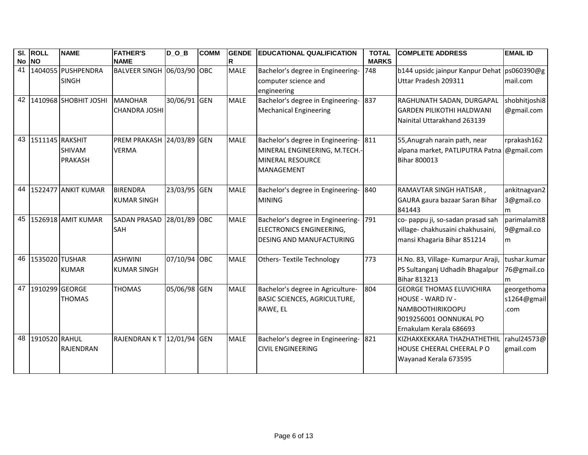|       | SI. ROLL           | <b>NAME</b>              | <b>FATHER'S</b>            | $D_0_B$      | <b>COMM</b> | GENDE       | <b>EDUCATIONAL QUALIFICATION</b>    | <b>TOTAL</b> | <b>COMPLETE ADDRESS</b>                     | <b>EMAIL ID</b> |
|-------|--------------------|--------------------------|----------------------------|--------------|-------------|-------------|-------------------------------------|--------------|---------------------------------------------|-----------------|
| No NO |                    |                          | <b>NAME</b>                |              |             | R           |                                     | <b>MARKS</b> |                                             |                 |
|       |                    | 41 1404055 PUSHPENDRA    | BALVEER SINGH 06/03/90 OBC |              |             | <b>MALE</b> | Bachelor's degree in Engineering-   | 748          | b144 upsidc jainpur Kanpur Dehat ps060390@g |                 |
|       |                    | <b>SINGH</b>             |                            |              |             |             | computer science and                |              | Uttar Pradesh 209311                        | mail.com        |
|       |                    |                          |                            |              |             |             | engineering                         |              |                                             |                 |
|       |                    | 42 1410968 SHOBHIT JOSHI | <b>MANOHAR</b>             | 30/06/91     | <b>GEN</b>  | <b>MALE</b> | Bachelor's degree in Engineering-   | 837          | RAGHUNATH SADAN, DURGAPAL                   | shobhitjoshi8   |
|       |                    |                          | <b>CHANDRA JOSHI</b>       |              |             |             | <b>Mechanical Engineering</b>       |              | <b>GARDEN PILIKOTHI HALDWANI</b>            | @gmail.com      |
|       |                    |                          |                            |              |             |             |                                     |              | Nainital Uttarakhand 263139                 |                 |
|       |                    |                          |                            |              |             |             |                                     |              |                                             |                 |
|       | 43 1511145 RAKSHIT |                          | PREM PRAKASH 24/03/89 GEN  |              |             | <b>MALE</b> | Bachelor's degree in Engineering-   | 811          | 55, Anugrah narain path, near               | rprakash162     |
|       |                    | <b>SHIVAM</b>            | <b>VERMA</b>               |              |             |             | MINERAL ENGINEERING, M.TECH.-       |              | alpana market, PATLIPUTRA Patna @gmail.com  |                 |
|       |                    | PRAKASH                  |                            |              |             |             | <b>MINERAL RESOURCE</b>             |              | <b>Bihar 800013</b>                         |                 |
|       |                    |                          |                            |              |             |             | MANAGEMENT                          |              |                                             |                 |
|       |                    |                          |                            |              |             |             |                                     |              |                                             |                 |
|       |                    | 44 1522477 ANKIT KUMAR   | <b>BIRENDRA</b>            | 23/03/95 GEN |             | <b>MALE</b> | Bachelor's degree in Engineering-   | 840          | RAMAVTAR SINGH HATISAR,                     | ankitnagvan2    |
|       |                    |                          | <b>KUMAR SINGH</b>         |              |             |             | <b>MINING</b>                       |              | GAURA gaura bazaar Saran Bihar              | 3@gmail.co      |
|       |                    |                          |                            |              |             |             |                                     |              | 841443                                      | m               |
| 45    |                    | 1526918 AMIT KUMAR       | <b>SADAN PRASAD</b>        | 28/01/89 OBC |             | <b>MALE</b> | Bachelor's degree in Engineering-   | 791          | co- pappu ji, so-sadan prasad sah           | parimalamit8    |
|       |                    |                          | <b>SAH</b>                 |              |             |             | ELECTRONICS ENGINEERING,            |              | village- chakhusaini chakhusaini,           | 9@gmail.co      |
|       |                    |                          |                            |              |             |             | <b>DESING AND MANUFACTURING</b>     |              | mansi Khagaria Bihar 851214                 | m               |
|       |                    |                          |                            |              |             |             |                                     |              |                                             |                 |
|       | 46 1535020 TUSHAR  |                          | <b>ASHWINI</b>             | 07/10/94 OBC |             | <b>MALE</b> | Others- Textile Technology          | 773          | H.No. 83, Village- Kumarpur Araji,          | tushar.kumar    |
|       |                    | <b>KUMAR</b>             | <b>KUMAR SINGH</b>         |              |             |             |                                     |              | PS Sultanganj Udhadih Bhagalpur             | 76@gmail.co     |
|       |                    |                          |                            |              |             |             |                                     |              | <b>Bihar 813213</b>                         | m               |
|       | 47 1910299 GEORGE  |                          | <b>THOMAS</b>              | 05/06/98 GEN |             | <b>MALE</b> | Bachelor's degree in Agriculture-   | 804          | <b>GEORGE THOMAS ELUVICHIRA</b>             | georgethoma     |
|       |                    | <b>THOMAS</b>            |                            |              |             |             | <b>BASIC SCIENCES, AGRICULTURE,</b> |              | HOUSE - WARD IV -                           | s1264@gmail     |
|       |                    |                          |                            |              |             |             | RAWE, EL                            |              | <b>NAMBOOTHIRIKOOPU</b>                     | .com            |
|       |                    |                          |                            |              |             |             |                                     |              | 9019256001 OONNUKAL PO                      |                 |
|       |                    |                          |                            |              |             |             |                                     |              | Ernakulam Kerala 686693                     |                 |
|       | 48 1910520 RAHUL   |                          | RAJENDRAN KT 12/01/94 GEN  |              |             | <b>MALE</b> | Bachelor's degree in Engineering-   | 821          | KIZHAKKEKKARA THAZHATHETHIL                 | rahul24573@     |
|       |                    | RAJENDRAN                |                            |              |             |             | <b>CIVIL ENGINEERING</b>            |              | HOUSE CHEERAL CHEERAL PO                    | gmail.com       |
|       |                    |                          |                            |              |             |             |                                     |              | Wayanad Kerala 673595                       |                 |
|       |                    |                          |                            |              |             |             |                                     |              |                                             |                 |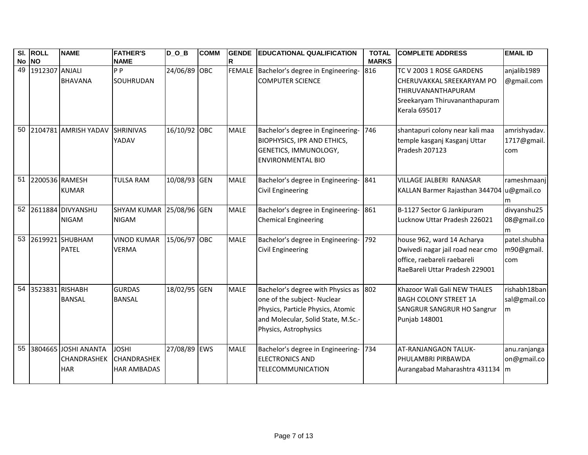| No NO           | SI. ROLL           | <b>NAME</b>                                              | <b>FATHER'S</b><br><b>NAME</b>                           | $D_0_B$      | <b>COMM</b> | <b>GENDE</b><br>R | <b>IEDUCATIONAL QUALIFICATION</b>                                                                                                                                        | <b>TOTAL</b><br><b>MARKS</b> | <b>COMPLETE ADDRESS</b>                                                                                                         | <b>EMAIL ID</b>                           |
|-----------------|--------------------|----------------------------------------------------------|----------------------------------------------------------|--------------|-------------|-------------------|--------------------------------------------------------------------------------------------------------------------------------------------------------------------------|------------------------------|---------------------------------------------------------------------------------------------------------------------------------|-------------------------------------------|
| 49              | 1912307 ANJALI     | <b>BHAVANA</b>                                           | P <sub>P</sub><br>SOUHRUDAN                              | 24/06/89 OBC |             |                   | FEMALE Bachelor's degree in Engineering-<br><b>COMPUTER SCIENCE</b>                                                                                                      | 816                          | TC V 2003 1 ROSE GARDENS<br>CHERUVAKKAL SREEKARYAM PO<br>THIRUVANANTHAPURAM<br>Sreekaryam Thiruvananthapuram<br>Kerala 695017   | anjalib1989<br>@gmail.com                 |
| 50              |                    | 2104781 AMRISH YADAV                                     | <b>SHRINIVAS</b><br>YADAV                                | 16/10/92 OBC |             | <b>MALE</b>       | Bachelor's degree in Engineering-<br><b>BIOPHYSICS, IPR AND ETHICS,</b><br>GENETICS, IMMUNOLOGY,<br><b>ENVIRONMENTAL BIO</b>                                             | 746                          | shantapuri colony near kali maa<br>temple kasganj Kasganj Uttar<br>Pradesh 207123                                               | amrishyadav.<br>1717@gmail.<br>com        |
| 51              | 2200536 RAMESH     | <b>KUMAR</b>                                             | <b>TULSA RAM</b>                                         | 10/08/93 GEN |             | <b>MALE</b>       | Bachelor's degree in Engineering-<br>Civil Engineering                                                                                                                   | 841                          | VILLAGE JALBERI RANASAR<br>KALLAN Barmer Rajasthan 344704 u@gmail.co                                                            | rameshmaanj<br>m                          |
|                 |                    | 52 2611884 DIVYANSHU<br><b>NIGAM</b>                     | <b>SHYAM KUMAR</b><br><b>NIGAM</b>                       | 25/08/96 GEN |             | <b>MALE</b>       | Bachelor's degree in Engineering-<br><b>Chemical Engineering</b>                                                                                                         | 861                          | B-1127 Sector G Jankipuram<br>Lucknow Uttar Pradesh 226021                                                                      | divyanshu25<br>08@gmail.co<br>m           |
| 53              |                    | 2619921 SHUBHAM<br><b>PATEL</b>                          | <b>VINOD KUMAR</b><br><b>VERMA</b>                       | 15/06/97 OBC |             | <b>MALE</b>       | Bachelor's degree in Engineering-<br>Civil Engineering                                                                                                                   | 792                          | house 962, ward 14 Acharya<br>Dwivedi nagar jail road near cmo<br>office, raebareli raebareli<br>RaeBareli Uttar Pradesh 229001 | patel.shubha<br>m90@gmail.<br>com         |
|                 | 54 3523831 RISHABH | <b>BANSAL</b>                                            | <b>GURDAS</b><br><b>BANSAL</b>                           | 18/02/95 GEN |             | <b>MALE</b>       | Bachelor's degree with Physics as 802<br>one of the subject- Nuclear<br>Physics, Particle Physics, Atomic<br>and Molecular, Solid State, M.Sc.-<br>Physics, Astrophysics |                              | Khazoor Wali Gali NEW THALES<br><b>BAGH COLONY STREET 1A</b><br>SANGRUR SANGRUR HO Sangrur<br>Punjab 148001                     | rishabh18ban<br>sal@gmail.co<br>m         |
| $\overline{55}$ |                    | 3804665 JOSHI ANANTA<br><b>CHANDRASHEK</b><br><b>HAR</b> | <b>JOSHI</b><br><b>CHANDRASHEK</b><br><b>HAR AMBADAS</b> | 27/08/89 EWS |             | <b>MALE</b>       | Bachelor's degree in Engineering-<br><b>ELECTRONICS AND</b><br><b>TELECOMMUNICATION</b>                                                                                  | 734                          | AT-RANJANGAON TALUK-<br>PHULAMBRI PIRBAWDA<br>Aurangabad Maharashtra 431134                                                     | anu.ranjanga<br>on@gmail.co<br><b>I</b> m |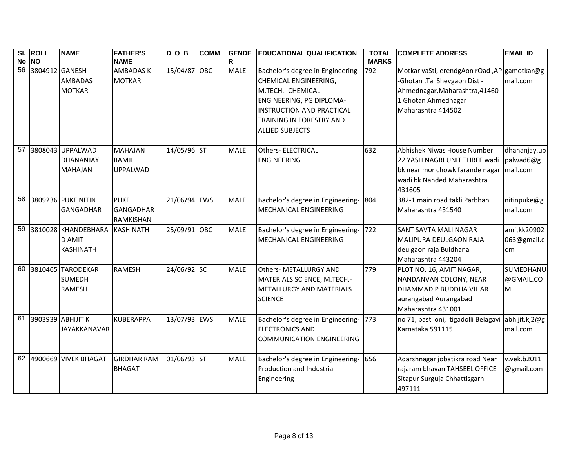|             | SI. ROLL       | <b>NAME</b>             | <b>FATHER'S</b>                | $D_$ $D_$ $B$ | <b>COMM</b> | <b>GENDE</b>     | <b>EDUCATIONAL QUALIFICATION</b>                           | <b>TOTAL</b>        | <b>COMPLETE ADDRESS</b>                                                     | <b>EMAIL ID</b>  |
|-------------|----------------|-------------------------|--------------------------------|---------------|-------------|------------------|------------------------------------------------------------|---------------------|-----------------------------------------------------------------------------|------------------|
| No NO<br>56 | 3804912 GANESH |                         | <b>NAME</b><br><b>AMBADASK</b> | 15/04/87 OBC  |             | R<br><b>MALE</b> |                                                            | <b>MARKS</b><br>792 |                                                                             |                  |
|             |                | <b>AMBADAS</b>          | <b>MOTKAR</b>                  |               |             |                  | Bachelor's degree in Engineering-<br>CHEMICAL ENGINEERING, |                     | Motkar vaSti, erendgAon rOad ,AP gamotkar@g<br>-Ghotan, Tal Shevgaon Dist - | mail.com         |
|             |                | <b>MOTKAR</b>           |                                |               |             |                  | M.TECH.- CHEMICAL                                          |                     | Ahmednagar, Maharashtra, 41460                                              |                  |
|             |                |                         |                                |               |             |                  | ENGINEERING, PG DIPLOMA-                                   |                     | 1 Ghotan Ahmednagar                                                         |                  |
|             |                |                         |                                |               |             |                  | <b>INSTRUCTION AND PRACTICAL</b>                           |                     | Maharashtra 414502                                                          |                  |
|             |                |                         |                                |               |             |                  | TRAINING IN FORESTRY AND                                   |                     |                                                                             |                  |
|             |                |                         |                                |               |             |                  | <b>ALLIED SUBJECTS</b>                                     |                     |                                                                             |                  |
|             |                |                         |                                |               |             |                  |                                                            |                     |                                                                             |                  |
| 57          |                | 3808043 UPPALWAD        | <b>MAHAJAN</b>                 | 14/05/96 ST   |             | <b>MALE</b>      | Others- ELECTRICAL                                         | 632                 | Abhishek Niwas House Number                                                 | dhananjay.up     |
|             |                | DHANANJAY               | <b>RAMJI</b>                   |               |             |                  | <b>ENGINEERING</b>                                         |                     | 22 YASH NAGRI UNIT THREE wadi                                               | palwad6@g        |
|             |                | <b>MAHAJAN</b>          | <b>UPPALWAD</b>                |               |             |                  |                                                            |                     | bk near mor chowk farande nagar                                             | mail.com         |
|             |                |                         |                                |               |             |                  |                                                            |                     | wadi bk Nanded Maharashtra                                                  |                  |
|             |                |                         |                                |               |             |                  |                                                            |                     | 431605                                                                      |                  |
| 58          |                | 3809236 PUKE NITIN      | <b>PUKE</b>                    | 21/06/94 EWS  |             | <b>MALE</b>      | Bachelor's degree in Engineering-                          | 804                 | 382-1 main road takli Parbhani                                              | nitinpuke@g      |
|             |                | <b>GANGADHAR</b>        | <b>GANGADHAR</b>               |               |             |                  | <b>MECHANICAL ENGINEERING</b>                              |                     | Maharashtra 431540                                                          | mail.com         |
|             |                |                         | <b>RAMKISHAN</b>               |               |             |                  |                                                            |                     |                                                                             |                  |
| 59          |                | 3810028 KHANDEBHARA     | KASHINATH                      | 25/09/91 OBC  |             | <b>MALE</b>      | Bachelor's degree in Engineering-                          | 722                 | <b>SANT SAVTA MALI NAGAR</b>                                                | amitkk20902      |
|             |                | <b>D AMIT</b>           |                                |               |             |                  | MECHANICAL ENGINEERING                                     |                     | MALIPURA DEULGAON RAJA                                                      | 063@gmail.c      |
|             |                | <b>KASHINATH</b>        |                                |               |             |                  |                                                            |                     | deulgaon raja Buldhana                                                      | om               |
|             |                |                         |                                |               |             |                  |                                                            |                     | Maharashtra 443204                                                          |                  |
|             |                | 60 3810465 TARODEKAR    | <b>RAMESH</b>                  | 24/06/92 SC   |             | <b>MALE</b>      | <b>Others- METALLURGY AND</b>                              | 779                 | PLOT NO. 16, AMIT NAGAR,                                                    | <b>SUMEDHANU</b> |
|             |                | <b>SUMEDH</b>           |                                |               |             |                  | MATERIALS SCIENCE, M.TECH.-                                |                     | NANDANVAN COLONY, NEAR                                                      | @GMAIL.CO        |
|             |                | <b>RAMESH</b>           |                                |               |             |                  | METALLURGY AND MATERIALS                                   |                     | DHAMMADIP BUDDHA VIHAR                                                      | M                |
|             |                |                         |                                |               |             |                  | <b>SCIENCE</b>                                             |                     | aurangabad Aurangabad                                                       |                  |
|             |                |                         |                                |               |             |                  |                                                            |                     | Maharashtra 431001                                                          |                  |
| 61          |                | 3903939 ABHIJIT K       | <b>KUBERAPPA</b>               | 13/07/93 EWS  |             | <b>MALE</b>      | Bachelor's degree in Engineering- 773                      |                     | no 71, basti oni, tigadolli Belagavi abhijit.kj2@g                          |                  |
|             |                | <b>JAYAKKANAVAR</b>     |                                |               |             |                  | <b>ELECTRONICS AND</b>                                     |                     | Karnataka 591115                                                            | mail.com         |
|             |                |                         |                                |               |             |                  | <b>COMMUNICATION ENGINEERING</b>                           |                     |                                                                             |                  |
|             |                | 62 4900669 VIVEK BHAGAT | <b>GIRDHAR RAM</b>             | 01/06/93 ST   |             | <b>MALE</b>      | Bachelor's degree in Engineering- 656                      |                     | Adarshnagar jobatikra road Near                                             | v.vek.b2011      |
|             |                |                         | <b>BHAGAT</b>                  |               |             |                  | Production and Industrial                                  |                     | rajaram bhavan TAHSEEL OFFICE                                               | @gmail.com       |
|             |                |                         |                                |               |             |                  | Engineering                                                |                     | Sitapur Surguja Chhattisgarh                                                |                  |
|             |                |                         |                                |               |             |                  |                                                            |                     | 497111                                                                      |                  |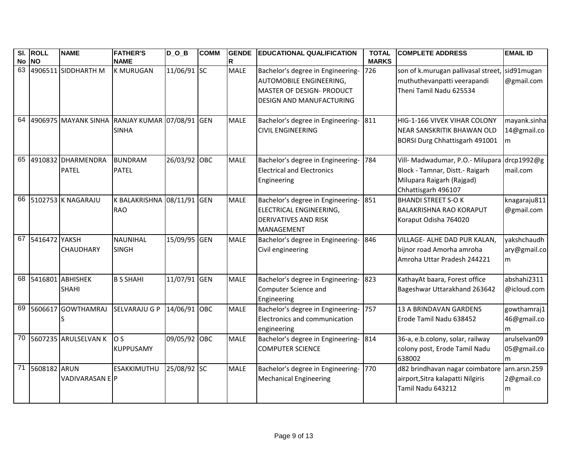|       | SI. ROLL        | <b>NAME</b>             | <b>FATHER'S</b>                               | $D$ O B      | <b>COMM</b> | <b>GENDE</b> | <b>EDUCATIONAL QUALIFICATION</b>      | <b>TOTAL</b> | <b>COMPLETE ADDRESS</b>                      | <b>EMAIL ID</b> |
|-------|-----------------|-------------------------|-----------------------------------------------|--------------|-------------|--------------|---------------------------------------|--------------|----------------------------------------------|-----------------|
| No NO |                 |                         | <b>NAME</b>                                   |              |             | R            |                                       | <b>MARKS</b> |                                              |                 |
|       |                 | 63 4906511 SIDDHARTH M  | <b>K MURUGAN</b>                              | 11/06/91 SC  |             | <b>MALE</b>  | Bachelor's degree in Engineering-     | 726          | son of k.murugan pallivasal street,          | sid91mugan      |
|       |                 |                         |                                               |              |             |              | <b>AUTOMOBILE ENGINEERING,</b>        |              | muthuthevanpatti veerapandi                  | @gmail.com      |
|       |                 |                         |                                               |              |             |              | MASTER OF DESIGN- PRODUCT             |              | Theni Tamil Nadu 625534                      |                 |
|       |                 |                         |                                               |              |             |              | <b>DESIGN AND MANUFACTURING</b>       |              |                                              |                 |
|       |                 |                         |                                               |              |             |              |                                       |              |                                              |                 |
|       |                 |                         | 64 4906975 MAYANK SINHA RANJAY KUMAR 07/08/91 |              | <b>GEN</b>  | <b>MALE</b>  | Bachelor's degree in Engineering- 811 |              | HIG-1-166 VIVEK VIHAR COLONY                 | mayank.sinha    |
|       |                 |                         | <b>SINHA</b>                                  |              |             |              | <b>CIVIL ENGINEERING</b>              |              | NEAR SANSKRITIK BHAWAN OLD                   | 14@gmail.co     |
|       |                 |                         |                                               |              |             |              |                                       |              | BORSI Durg Chhattisgarh 491001               | m               |
|       |                 |                         |                                               |              |             |              |                                       |              |                                              |                 |
|       |                 | 65 4910832 DHARMENDRA   | <b>BUNDRAM</b>                                | 26/03/92 OBC |             | <b>MALE</b>  | Bachelor's degree in Engineering-     | 784          | Vill- Madwadumar, P.O.- Milupara drcp1992@g  |                 |
|       |                 | <b>PATEL</b>            | <b>PATEL</b>                                  |              |             |              | <b>Electrical and Electronics</b>     |              | Block - Tamnar, Distt. - Raigarh             | mail.com        |
|       |                 |                         |                                               |              |             |              | Engineering                           |              | Milupara Raigarh (Rajgad)                    |                 |
|       |                 |                         |                                               |              |             |              |                                       |              | Chhattisgarh 496107                          |                 |
|       |                 | 66 5102753 K NAGARAJU   | K BALAKRISHNA 08/11/91 GEN                    |              |             | <b>MALE</b>  | Bachelor's degree in Engineering-     | 851          | <b>BHANDI STREET S-OK</b>                    | knagaraju811    |
|       |                 |                         | <b>RAO</b>                                    |              |             |              | ELECTRICAL ENGINEERING,               |              | <b>BALAKRISHNA RAO KORAPUT</b>               | @gmail.com      |
|       |                 |                         |                                               |              |             |              | <b>DERIVATIVES AND RISK</b>           |              | Koraput Odisha 764020                        |                 |
|       |                 |                         |                                               |              |             |              | MANAGEMENT                            |              |                                              |                 |
| 67    | 5416472 YAKSH   |                         | <b>NAUNIHAL</b>                               | 15/09/95 GEN |             | <b>MALE</b>  | Bachelor's degree in Engineering-     | 846          | VILLAGE- ALHE DAD PUR KALAN,                 | yakshchaudh     |
|       |                 | CHAUDHARY               | <b>SINGH</b>                                  |              |             |              | Civil engineering                     |              | bijnor road Amorha amroha                    | ary@gmail.co    |
|       |                 |                         |                                               |              |             |              |                                       |              | Amroha Uttar Pradesh 244221                  | l <sub>m</sub>  |
|       |                 |                         |                                               |              |             |              |                                       |              |                                              |                 |
|       |                 | 68 5416801 ABHISHEK     | <b>B S SHAHI</b>                              | 11/07/91 GEN |             | <b>MALE</b>  | Bachelor's degree in Engineering-     | 823          | KathayAt baara, Forest office                | abshahi2311     |
|       |                 | <b>SHAHI</b>            |                                               |              |             |              | Computer Science and                  |              | Bageshwar Uttarakhand 263642                 | @icloud.com     |
|       |                 |                         |                                               |              |             |              | Engineering                           |              |                                              |                 |
|       |                 | 69 5606617 GOWTHAMRAJ   | SELVARAJU G P                                 | 14/06/91 OBC |             | <b>MALE</b>  | Bachelor's degree in Engineering-     | 757          | <b>13 A BRINDAVAN GARDENS</b>                | gowthamraj1     |
|       |                 |                         |                                               |              |             |              | Electronics and communication         |              | Erode Tamil Nadu 638452                      | 46@gmail.co     |
|       |                 |                         |                                               |              |             |              | engineering                           |              |                                              | m               |
|       |                 | 70 5607235 ARULSELVAN K | O S                                           | 09/05/92 OBC |             | <b>MALE</b>  | Bachelor's degree in Engineering-     | 814          | 36-a, e.b.colony, solar, railway             | arulselvan09    |
|       |                 |                         | <b>KUPPUSAMY</b>                              |              |             |              | <b>COMPUTER SCIENCE</b>               |              | colony post, Erode Tamil Nadu                | 05@gmail.co     |
|       |                 |                         |                                               |              |             |              |                                       |              | 638002                                       | m               |
|       | 71 5608182 ARUN |                         | <b>ESAKKIMUTHU</b>                            | 25/08/92 SC  |             | <b>MALE</b>  | Bachelor's degree in Engineering-     | 770          | d82 brindhavan nagar coimbatore arn.arsn.259 |                 |
|       |                 | VADIVARASAN EP          |                                               |              |             |              | <b>Mechanical Engineering</b>         |              | airport, Sitra kalapatti Nilgiris            | 2@gmail.co      |
|       |                 |                         |                                               |              |             |              |                                       |              | Tamil Nadu 643212                            | m               |
|       |                 |                         |                                               |              |             |              |                                       |              |                                              |                 |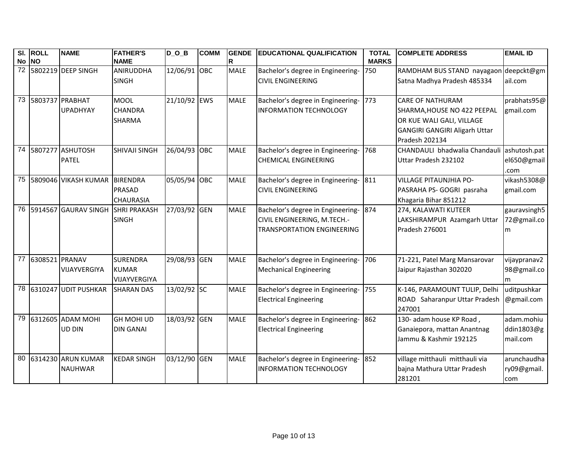| SI. ROLL<br>No NO | <b>NAME</b>                             | <b>FATHER'S</b><br><b>NAME</b>                       | $\overline{D}_O$ _B | <b>COMM</b> | <b>GENDE</b><br>R | <b>EDUCATIONAL QUALIFICATION</b>                                                                          | <b>TOTAL</b><br><b>MARKS</b> | <b>COMPLETE ADDRESS</b>                                                                                                                       | <b>EMAIL ID</b>                      |
|-------------------|-----------------------------------------|------------------------------------------------------|---------------------|-------------|-------------------|-----------------------------------------------------------------------------------------------------------|------------------------------|-----------------------------------------------------------------------------------------------------------------------------------------------|--------------------------------------|
|                   | 72 5802219 DEEP SINGH                   | ANIRUDDHA<br><b>SINGH</b>                            | 12/06/91 OBC        |             | <b>MALE</b>       | Bachelor's degree in Engineering-<br><b>CIVIL ENGINEERING</b>                                             | 750                          | RAMDHAM BUS STAND nayagaon deepckt@gm<br>Satna Madhya Pradesh 485334                                                                          | ail.com                              |
|                   | 73 5803737 PRABHAT<br><b>UPADHYAY</b>   | <b>MOOL</b><br><b>CHANDRA</b><br><b>SHARMA</b>       | 21/10/92 EWS        |             | <b>MALE</b>       | Bachelor's degree in Engineering-<br><b>INFORMATION TECHNOLOGY</b>                                        | 773                          | <b>CARE OF NATHURAM</b><br>SHARMA, HOUSE NO 422 PEEPAL<br>OR KUE WALI GALI, VILLAGE<br><b>GANGIRI GANGIRI Aligarh Uttar</b><br>Pradesh 202134 | prabhats95@<br>gmail.com             |
|                   | 74 5807277 ASHUTOSH<br><b>PATEL</b>     | <b>SHIVAJI SINGH</b>                                 | 26/04/93 OBC        |             | <b>MALE</b>       | Bachelor's degree in Engineering-<br><b>CHEMICAL ENGINEERING</b>                                          | 768                          | CHANDAULI bhadwalia Chandauli ashutosh.pat<br>Uttar Pradesh 232102                                                                            | el650@gmail<br>.com                  |
|                   | 75 5809046 VIKASH KUMAR                 | <b>BIRENDRA</b><br><b>PRASAD</b><br><b>CHAURASIA</b> | 05/05/94 OBC        |             | <b>MALE</b>       | Bachelor's degree in Engineering- 811<br><b>CIVIL ENGINEERING</b>                                         |                              | <b>VILLAGE PITAUNJHIA PO-</b><br>PASRAHA PS- GOGRI pasraha<br>Khagaria Bihar 851212                                                           | vikash5308@<br>gmail.com             |
|                   | 76 5914567 GAURAV SINGH                 | <b>SHRI PRAKASH</b><br><b>SINGH</b>                  | 27/03/92 GEN        |             | <b>MALE</b>       | Bachelor's degree in Engineering- 874<br>CIVIL ENGINEERING, M.TECH.-<br><b>TRANSPORTATION ENGINEERING</b> |                              | 274, KALAWATI KUTEER<br>LAKSHIRAMPUR Azamgarh Uttar<br>Pradesh 276001                                                                         | gauravsingh5<br>72@gmail.co<br>m     |
| 77 6308521 PRANAV | VIJAYVERGIYA                            | <b>SURENDRA</b><br><b>KUMAR</b><br>VIJAYVERGIYA      | 29/08/93 GEN        |             | <b>MALE</b>       | Bachelor's degree in Engineering-<br><b>Mechanical Engineering</b>                                        | 706                          | 71-221, Patel Marg Mansarovar<br>Jaipur Rajasthan 302020                                                                                      | vijaypranav2<br>98@gmail.co<br>m     |
|                   | 78 6310247 UDIT PUSHKAR                 | <b>SHARAN DAS</b>                                    | 13/02/92 SC         |             | <b>MALE</b>       | Bachelor's degree in Engineering-<br><b>Electrical Engineering</b>                                        | 755                          | K-146, PARAMOUNT TULIP, Delhi<br>ROAD Saharanpur Uttar Pradesh<br>247001                                                                      | uditpushkar<br>@gmail.com            |
|                   | 79 6312605 ADAM MOHI<br><b>UD DIN</b>   | <b>GH MOHI UD</b><br><b>DIN GANAI</b>                | 18/03/92 GEN        |             | <b>MALE</b>       | Bachelor's degree in Engineering-<br><b>Electrical Engineering</b>                                        | 862                          | 130- adam house KP Road,<br>Ganaiepora, mattan Anantnag<br>Jammu & Kashmir 192125                                                             | adam.mohiu<br>ddin1803@g<br>mail.com |
|                   | 80 6314230 ARUN KUMAR<br><b>NAUHWAR</b> | <b>KEDAR SINGH</b>                                   | 03/12/90 GEN        |             | <b>MALE</b>       | Bachelor's degree in Engineering-<br><b>INFORMATION TECHNOLOGY</b>                                        | 852                          | village mitthauli mitthauli via<br>bajna Mathura Uttar Pradesh<br>281201                                                                      | arunchaudha<br>ry09@gmail.<br>com    |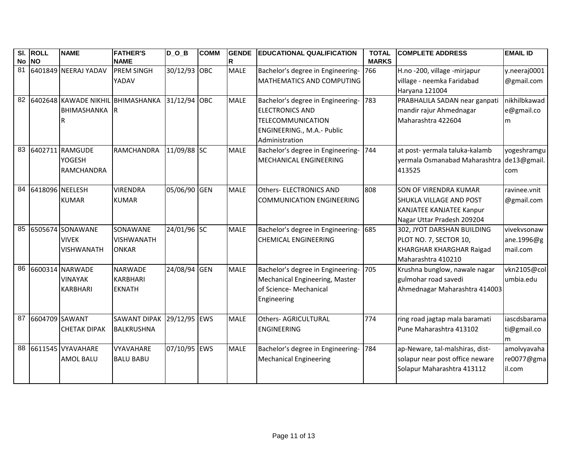|    | SI. ROLL<br>No NO  | <b>NAME</b>                                           | <b>FATHER'S</b><br><b>NAME</b>                     | $D_0_B$      | <b>COMM</b> | <b>GENDE</b><br>R | <b>EDUCATIONAL QUALIFICATION</b>                                                                                                        | <b>TOTAL</b><br><b>MARKS</b> | <b>COMPLETE ADDRESS</b>                                                                                                         | <b>EMAIL ID</b>                       |
|----|--------------------|-------------------------------------------------------|----------------------------------------------------|--------------|-------------|-------------------|-----------------------------------------------------------------------------------------------------------------------------------------|------------------------------|---------------------------------------------------------------------------------------------------------------------------------|---------------------------------------|
|    |                    | 81 6401849 NEERAJ YADAV                               | <b>PREM SINGH</b><br>YADAV                         | 30/12/93 OBC |             | <b>MALE</b>       | Bachelor's degree in Engineering-<br>MATHEMATICS AND COMPUTING                                                                          | 766                          | H.no -200, village -mirjapur<br>village - neemka Faridabad<br>Haryana 121004                                                    | y.neeraj0001<br>@gmail.com            |
|    |                    | 82 6402648 KAWADE NIKHIL BHIMASHANKA<br>BHIMASHANKA   | 1R                                                 | 31/12/94 OBC |             | <b>MALE</b>       | Bachelor's degree in Engineering-<br><b>ELECTRONICS AND</b><br><b>TELECOMMUNICATION</b><br>ENGINEERING., M.A.- Public<br>Administration | 783                          | PRABHALILA SADAN near ganpati<br>mandir rajur Ahmednagar<br>Maharashtra 422604                                                  | nikhilbkawad<br>e@gmail.co<br>m       |
| 83 |                    | 6402711 RAMGUDE<br>YOGESH<br><b>RAMCHANDRA</b>        | <b>RAMCHANDRA</b>                                  | 11/09/88 SC  |             | <b>MALE</b>       | Bachelor's degree in Engineering-<br>MECHANICAL ENGINEERING                                                                             | 744                          | at post- yermala taluka-kalamb<br>yermala Osmanabad Maharashtra<br>413525                                                       | yogeshramgu<br>de13@gmail.<br>com     |
|    | 84 6418096 NEELESH | <b>KUMAR</b>                                          | <b>VIRENDRA</b><br><b>KUMAR</b>                    | 05/06/90 GEN |             | <b>MALE</b>       | <b>Others- ELECTRONICS AND</b><br><b>COMMUNICATION ENGINEERING</b>                                                                      | 808                          | <b>SON OF VIRENDRA KUMAR</b><br><b>SHUKLA VILLAGE AND POST</b><br><b>KANJATEE KANJATEE Kanpur</b><br>Nagar Uttar Pradesh 209204 | ravinee.vnit<br>@gmail.com            |
| 85 |                    | 6505674 SONAWANE<br><b>VIVEK</b><br><b>VISHWANATH</b> | SONAWANE<br><b>VISHWANATH</b><br><b>ONKAR</b>      | 24/01/96 SC  |             | <b>MALE</b>       | Bachelor's degree in Engineering-<br><b>CHEMICAL ENGINEERING</b>                                                                        | 685                          | 302, JYOT DARSHAN BUILDING<br>PLOT NO. 7, SECTOR 10,<br>KHARGHAR KHARGHAR Raigad<br>Maharashtra 410210                          | vivekvsonaw<br>ane.1996@g<br>mail.com |
| 86 |                    | 6600314 NARWADE<br><b>VINAYAK</b><br><b>KARBHARI</b>  | <b>NARWADE</b><br><b>KARBHARI</b><br><b>EKNATH</b> | 24/08/94 GEN |             | <b>MALE</b>       | Bachelor's degree in Engineering-<br>Mechanical Engineering, Master<br>of Science- Mechanical<br>Engineering                            | 705                          | Krushna bunglow, nawale nagar<br>gulmohar road savedi<br>Ahmednagar Maharashtra 414003                                          | vkn2105@col<br>umbia.edu              |
| 87 | 6604709 SAWANT     | <b>CHETAK DIPAK</b>                                   | <b>SAWANT DIPAK</b><br><b>BALKRUSHNA</b>           | 29/12/95 EWS |             | <b>MALE</b>       | <b>Others- AGRICULTURAL</b><br><b>ENGINEERING</b>                                                                                       | 774                          | ring road jagtap mala baramati<br>Pune Maharashtra 413102                                                                       | iascdsbarama<br>ti@gmail.co<br>m      |
| 88 |                    | 6611545 VYAVAHARE<br><b>AMOL BALU</b>                 | <b>VYAVAHARE</b><br><b>BALU BABU</b>               | 07/10/95 EWS |             | <b>MALE</b>       | Bachelor's degree in Engineering-<br><b>Mechanical Engineering</b>                                                                      | 784                          | ap-Neware, tal-malshiras, dist-<br>solapur near post office neware<br>Solapur Maharashtra 413112                                | amolvyavaha<br>re0077@gma<br>il.com   |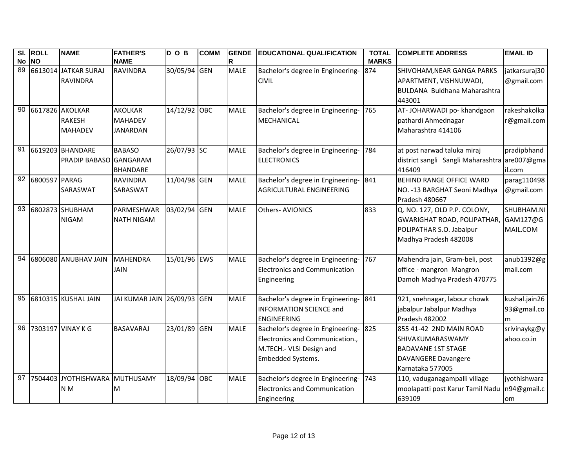|    | SI. ROLL         | <b>NAME</b>                    | <b>FATHER'S</b>             | $D_O_B$      | <b>COMM</b> | <b>GENDE</b> | <b>EDUCATIONAL QUALIFICATION</b>      | <b>TOTAL</b> | <b>COMPLETE ADDRESS</b>                       | <b>EMAIL ID</b> |
|----|------------------|--------------------------------|-----------------------------|--------------|-------------|--------------|---------------------------------------|--------------|-----------------------------------------------|-----------------|
|    | No NO            |                                | <b>NAME</b>                 |              |             | R            |                                       | <b>MARKS</b> |                                               |                 |
| 89 |                  | 6613014 JATKAR SURAJ           | <b>RAVINDRA</b>             | 30/05/94 GEN |             | <b>MALE</b>  | Bachelor's degree in Engineering-     | 874          | SHIVOHAM, NEAR GANGA PARKS                    | jatkarsuraj30   |
|    |                  | <b>RAVINDRA</b>                |                             |              |             |              | <b>CIVIL</b>                          |              | APARTMENT, VISHNUWADI,                        | @gmail.com      |
|    |                  |                                |                             |              |             |              |                                       |              | BULDANA Buldhana Maharashtra                  |                 |
|    |                  |                                |                             |              |             |              |                                       |              | 443001                                        |                 |
| 90 |                  | 6617826 AKOLKAR                | <b>AKOLKAR</b>              | 14/12/92 OBC |             | <b>MALE</b>  | Bachelor's degree in Engineering-     | 765          | AT-JOHARWADI po- khandgaon                    | rakeshakolka    |
|    |                  | <b>RAKESH</b>                  | <b>MAHADEV</b>              |              |             |              | MECHANICAL                            |              | pathardi Ahmednagar                           | r@gmail.com     |
|    |                  | <b>MAHADEV</b>                 | <b>JANARDAN</b>             |              |             |              |                                       |              | Maharashtra 414106                            |                 |
|    |                  | 91 6619203 BHANDARE            | <b>BABASO</b>               | 26/07/93 SC  |             | <b>MALE</b>  | Bachelor's degree in Engineering-     | 784          | at post narwad taluka miraj                   | pradipbhand     |
|    |                  | PRADIP BABASO GANGARAM         |                             |              |             |              | <b>ELECTRONICS</b>                    |              | district sangli Sangli Maharashtra are007@gma |                 |
|    |                  |                                | <b>BHANDARE</b>             |              |             |              |                                       |              | 416409                                        | il.com          |
|    | 92 6800597 PARAG |                                | <b>RAVINDRA</b>             | 11/04/98 GEN |             | <b>MALE</b>  | Bachelor's degree in Engineering- 841 |              | <b>BEHIND RANGE OFFICE WARD</b>               | parag110498     |
|    |                  | SARASWAT                       | SARASWAT                    |              |             |              | <b>AGRICULTURAL ENGINEERING</b>       |              | NO. - 13 BARGHAT Seoni Madhya                 | @gmail.com      |
|    |                  |                                |                             |              |             |              |                                       |              | Pradesh 480667                                |                 |
|    |                  | 93 6802873 SHUBHAM             | PARMESHWAR                  | 03/02/94 GEN |             | <b>MALE</b>  | <b>Others-AVIONICS</b>                | 833          | Q. NO. 127, OLD P.P. COLONY,                  | SHUBHAM.NI      |
|    |                  | <b>NIGAM</b>                   | <b>NATH NIGAM</b>           |              |             |              |                                       |              | <b>GWARIGHAT ROAD, POLIPATHAR,</b>            | GAM127@G        |
|    |                  |                                |                             |              |             |              |                                       |              | POLIPATHAR S.O. Jabalpur                      | MAIL.COM        |
|    |                  |                                |                             |              |             |              |                                       |              | Madhya Pradesh 482008                         |                 |
| 94 |                  | 6806080 ANUBHAV JAIN           | MAHENDRA                    | 15/01/96 EWS |             | <b>MALE</b>  | Bachelor's degree in Engineering-     | 767          | Mahendra jain, Gram-beli, post                | anub1392@g      |
|    |                  |                                | <b>JAIN</b>                 |              |             |              | Electronics and Communication         |              | office - mangron Mangron                      | mail.com        |
|    |                  |                                |                             |              |             |              | Engineering                           |              | Damoh Madhya Pradesh 470775                   |                 |
|    |                  |                                |                             |              |             |              |                                       |              |                                               |                 |
| 95 |                  | 6810315 KUSHAL JAIN            | JAI KUMAR JAIN 26/09/93 GEN |              |             | <b>MALE</b>  | Bachelor's degree in Engineering-     | 841          | 921, snehnagar, labour chowk                  | kushal.jain26   |
|    |                  |                                |                             |              |             |              | <b>INFORMATION SCIENCE and</b>        |              | jabalpur Jabalpur Madhya                      | 93@gmail.co     |
|    |                  |                                |                             |              |             |              | <b>ENGINEERING</b>                    |              | Pradesh 482002                                | m               |
|    |                  | 96 7303197 VINAY K G           | <b>BASAVARAJ</b>            | 23/01/89 GEN |             | <b>MALE</b>  | Bachelor's degree in Engineering-     | 825          | 855 41-42 2ND MAIN ROAD                       | srivinaykg@y    |
|    |                  |                                |                             |              |             |              | Electronics and Communication.,       |              | SHIVAKUMARASWAMY                              | ahoo.co.in      |
|    |                  |                                |                             |              |             |              | M.TECH.- VLSI Design and              |              | <b>BADAVANE 1ST STAGE</b>                     |                 |
|    |                  |                                |                             |              |             |              | <b>Embedded Systems.</b>              |              | <b>DAVANGERE Davangere</b>                    |                 |
|    |                  |                                |                             |              |             |              |                                       |              | Karnataka 577005                              |                 |
| 97 |                  | 7504403 JYOTHISHWARA MUTHUSAMY |                             | 18/09/94 OBC |             | <b>MALE</b>  | Bachelor's degree in Engineering-     | 743          | 110, vaduganagampalli village                 | jyothishwara    |
|    |                  | N <sub>M</sub>                 | M                           |              |             |              | <b>Electronics and Communication</b>  |              | moolapatti post Karur Tamil Nadu              | n94@gmail.c     |
|    |                  |                                |                             |              |             |              | Engineering                           |              | 639109                                        | om              |